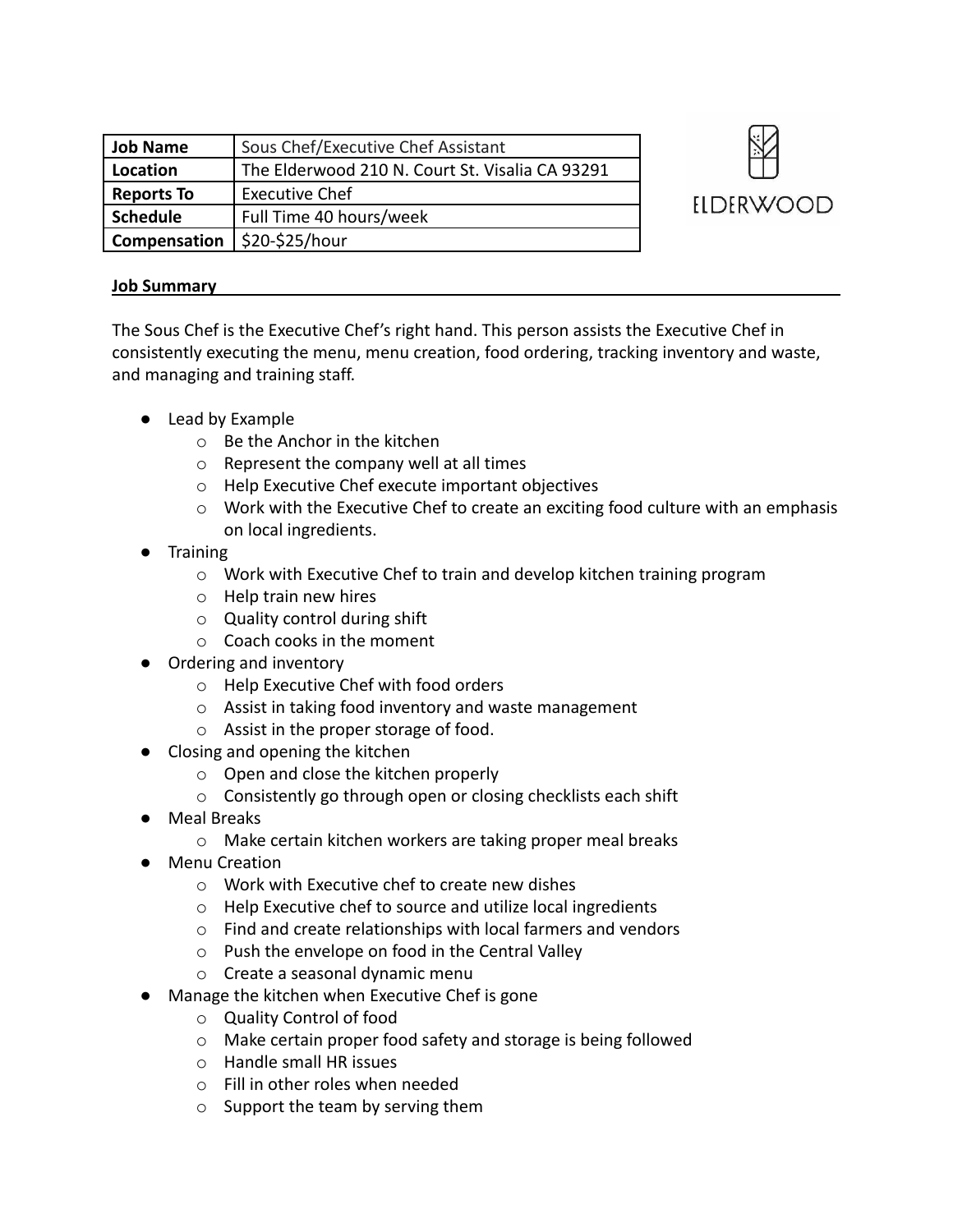| Job Name            | Sous Chef/Executive Chef Assistant              |
|---------------------|-------------------------------------------------|
| Location            | The Elderwood 210 N. Court St. Visalia CA 93291 |
| <b>Reports To</b>   | <b>Executive Chef</b>                           |
| Schedule            | Full Time 40 hours/week                         |
| <b>Compensation</b> | \$20-\$25/hour                                  |



## **Job Summary**

The Sous Chef is the Executive Chef's right hand. This person assists the Executive Chef in consistently executing the menu, menu creation, food ordering, tracking inventory and waste, and managing and training staff.

- Lead by Example
	- o Be the Anchor in the kitchen
	- o Represent the company well at all times
	- o Help Executive Chef execute important objectives
	- o Work with the Executive Chef to create an exciting food culture with an emphasis on local ingredients.
- **Training** 
	- $\circ$  Work with Executive Chef to train and develop kitchen training program
	- o Help train new hires
	- o Quality control during shift
	- o Coach cooks in the moment
- Ordering and inventory
	- o Help Executive Chef with food orders
	- o Assist in taking food inventory and waste management
	- o Assist in the proper storage of food.
- Closing and opening the kitchen
	- o Open and close the kitchen properly
	- o Consistently go through open or closing checklists each shift
- Meal Breaks
	- o Make certain kitchen workers are taking proper meal breaks
- Menu Creation
	- o Work with Executive chef to create new dishes
	- o Help Executive chef to source and utilize local ingredients
	- o Find and create relationships with local farmers and vendors
	- o Push the envelope on food in the Central Valley
	- o Create a seasonal dynamic menu
- Manage the kitchen when Executive Chef is gone
	- o Quality Control of food
	- o Make certain proper food safety and storage is being followed
	- o Handle small HR issues
	- o Fill in other roles when needed
	- o Support the team by serving them